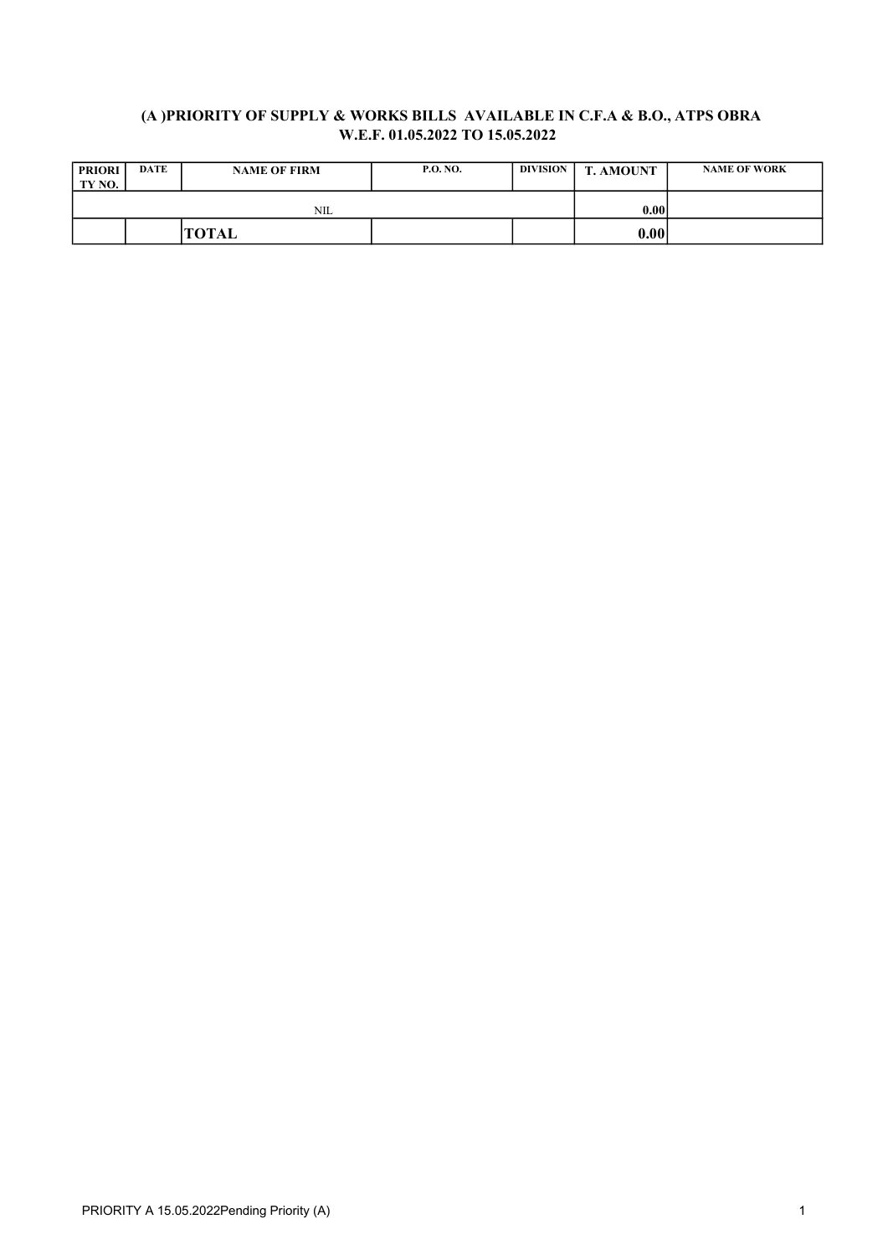## (A )PRIORITY OF SUPPLY & WORKS BILLS AVAILABLE IN C.F.A & B.O., ATPS OBRA W.E.F. 01.05.2022 TO 15.05.2022

| <b>PRIORI</b><br>TY NO. | <b>DATE</b> | <b>NAME OF FIRM</b> | <b>P.O. NO.</b> | <b>DIVISION</b> | <b>T. AMOUNT</b> | <b>NAME OF WORK</b> |
|-------------------------|-------------|---------------------|-----------------|-----------------|------------------|---------------------|
|                         |             | <b>NIL</b>          |                 |                 | 0.00             |                     |
|                         |             | 'TOTAL              |                 |                 | 0.00             |                     |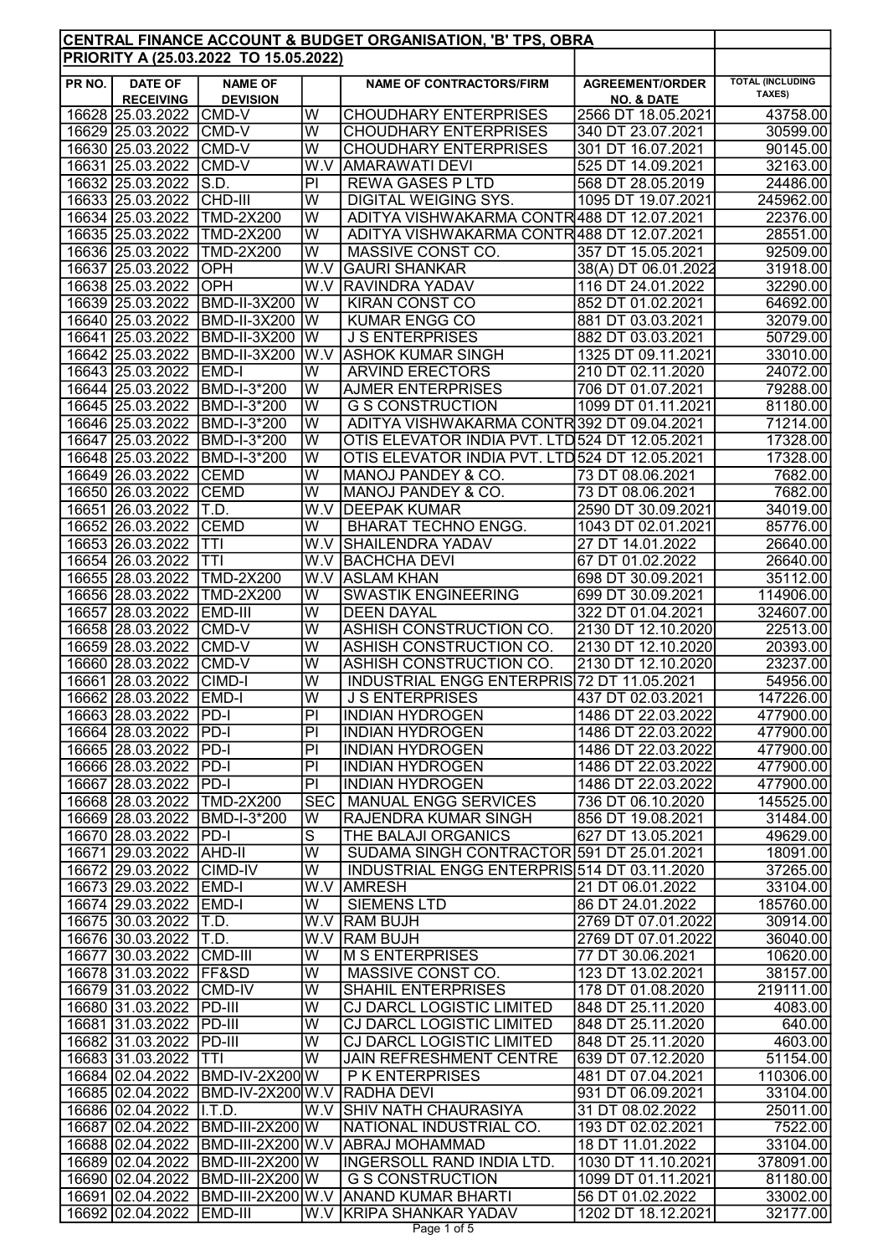|        |                                                    |                                              |                                           | CENTRAL FINANCE ACCOUNT & BUDGET ORGANISATION, 'B' TPS, OBRA         |                                         |                                   |
|--------|----------------------------------------------------|----------------------------------------------|-------------------------------------------|----------------------------------------------------------------------|-----------------------------------------|-----------------------------------|
|        |                                                    | PRIORITY A (25.03.2022 TO 15.05.2022)        |                                           |                                                                      |                                         |                                   |
| PR NO. | <b>DATE OF</b>                                     | <b>NAME OF</b>                               |                                           | <b>NAME OF CONTRACTORS/FIRM</b>                                      | <b>AGREEMENT/ORDER</b>                  | <b>TOTAL (INCLUDING</b><br>TAXES) |
|        | <b>RECEIVING</b>                                   | <b>DEVISION</b>                              | W                                         |                                                                      | <b>NO. &amp; DATE</b>                   | 43758.00                          |
|        | 16628 25.03.2022<br>16629 25.03.2022               | <b>CMD-V</b><br>CMD-V                        | $\overline{\mathsf{W}}$                   | <b>CHOUDHARY ENTERPRISES</b><br><b>CHOUDHARY ENTERPRISES</b>         | 2566 DT 18.05.2021<br>340 DT 23.07.2021 | 30599.00                          |
|        | 16630 25.03.2022                                   | CMD-V                                        | $\overline{\mathsf{W}}$                   | <b>CHOUDHARY ENTERPRISES</b>                                         | 301 DT 16.07.2021                       | 90145.00                          |
|        | 16631 25.03.2022                                   | CMD-V                                        | W.V                                       | <b>AMARAWATI DEVI</b>                                                | 525 DT 14.09.2021                       | 32163.00                          |
|        | 16632 25.03.2022                                   | S.D.                                         | PI                                        | <b>REWA GASES P LTD</b>                                              | 568 DT 28.05.2019                       | 24486.00                          |
|        | 16633 25.03.2022                                   | CHD-III                                      | W                                         | <b>DIGITAL WEIGING SYS.</b>                                          | 1095 DT 19.07.2021                      | 245962.00                         |
|        | 16634 25.03.2022                                   | <b>TMD-2X200</b>                             | W                                         | ADITYA VISHWAKARMA CONTR488 DT 12.07.2021                            |                                         | 22376.00                          |
|        | 16635 25.03.2022                                   | <b>TMD-2X200</b>                             | $\overline{\mathsf{W}}$                   | ADITYA VISHWAKARMA CONTR488 DT 12.07.2021                            |                                         | 28551.00                          |
|        | 16636 25.03.2022                                   | <b>TMD-2X200</b>                             | W                                         | MASSIVE CONST CO.                                                    | 357 DT 15.05.2021                       | 92509.00                          |
|        | 16637 25.03.2022                                   | OPH                                          | W.V                                       | <b>GAURI SHANKAR</b>                                                 | 38(A) DT 06.01.2022                     | 31918.00                          |
|        | 16638 25.03.2022                                   | OPH                                          | W.V                                       | <b>RAVINDRA YADAV</b>                                                | 116 DT 24.01.2022                       | 32290.00                          |
|        | 16639 25.03.2022                                   | <b>BMD-II-3X200</b>                          | $\overline{\mathsf{W}}$                   | <b>KIRAN CONST CO</b>                                                | 852 DT 01.02.2021                       | 64692.00                          |
|        | 16640 25.03.2022                                   | <b>BMD-II-3X200</b>                          | W                                         | <b>KUMAR ENGG CO</b>                                                 | 881 DT 03.03.2021                       | 32079.00                          |
|        | 16641 25.03.2022                                   | <b>BMD-II-3X200</b>                          | W                                         | <b>J S ENTERPRISES</b>                                               | 882 DT 03.03.2021                       | 50729.00                          |
|        | 16642 25.03.2022                                   | <b>BMD-II-3X200</b>                          | W.V                                       | <b>ASHOK KUMAR SINGH</b>                                             | 1325 DT 09.11.2021                      | 33010.00                          |
|        | 16643 25.03.2022                                   | <b>EMD-I</b>                                 | $\overline{\mathsf{w}}$                   | <b>ARVIND ERECTORS</b>                                               | 210 DT 02.11.2020                       | 24072.00                          |
|        | 16644 25.03.2022                                   | <b>BMD-I-3*200</b>                           | W                                         | <b>AJMER ENTERPRISES</b>                                             | 706 DT 01.07.2021<br>1099 DT 01.11.2021 | 79288.00                          |
|        | 16645 25.03.2022<br>16646 25.03.2022               | BMD-I-3*200<br>BMD-I-3*200                   | W<br>$\overline{\mathsf{w}}$              | <b>G S CONSTRUCTION</b><br>ADITYA VISHWAKARMA CONTR392 DT 09.04.2021 |                                         | 81180.00<br>71214.00              |
|        | 16647 25.03.2022                                   | <b>BMD-I-3*200</b>                           | W                                         | OTIS ELEVATOR INDIA PVT. LTD 524 DT 12.05.2021                       |                                         | 17328.00                          |
|        | 16648 25.03.2022                                   | BMD-I-3*200                                  | W                                         | OTIS ELEVATOR INDIA PVT. LTD 524 DT 12.05.2021                       |                                         | 17328.00                          |
|        | 16649 26.03.2022                                   | <b>CEMD</b>                                  | $\overline{\mathsf{W}}$                   | MANOJ PANDEY & CO.                                                   | 73 DT 08.06.2021                        | 7682.00                           |
|        | 16650 26.03.2022                                   | <b>CEMD</b>                                  | W                                         | MANOJ PANDEY & CO.                                                   | 73 DT 08.06.2021                        | 7682.00                           |
|        | 16651 26.03.2022                                   | T.D.                                         | W.V                                       | <b>DEEPAK KUMAR</b>                                                  | 2590 DT 30.09.2021                      | 34019.00                          |
|        | 16652 26.03.2022                                   | <b>CEMD</b>                                  | W                                         | <b>BHARAT TECHNO ENGG.</b>                                           | 1043 DT 02.01.2021                      | 85776.00                          |
|        | 16653 26.03.2022                                   | <b>TTI</b>                                   | W.V                                       | <b>SHAILENDRA YADAV</b>                                              | 27 DT 14.01.2022                        | 26640.00                          |
|        | 16654 26.03.2022                                   | <b>TTI</b>                                   | W.V                                       | <b>BACHCHA DEVI</b>                                                  | 67 DT 01.02.2022                        | 26640.00                          |
|        | 16655 28.03.2022                                   | <b>TMD-2X200</b>                             | $\overline{W.V}$                          | <b>ASLAM KHAN</b>                                                    | 698 DT 30.09.2021                       | 35112.00                          |
|        | 16656 28.03.2022                                   | <b>TMD-2X200</b>                             | $\overline{\mathsf{W}}$                   | <b>SWASTIK ENGINEERING</b>                                           | 699 DT 30.09.2021                       | 114906.00                         |
|        | 16657 28.03.2022                                   | EMD-III                                      | W                                         | <b>DEEN DAYAL</b>                                                    | 322 DT 01.04.2021                       | 324607.00                         |
|        | 16658 28.03.2022                                   | CMD-V                                        | W                                         | ASHISH CONSTRUCTION CO.                                              | 2130 DT 12.10.2020                      | 22513.00                          |
|        | 16659 28.03.2022                                   | CMD-V                                        | W                                         | ASHISH CONSTRUCTION CO.                                              | 2130 DT 12.10.2020                      | 20393.00                          |
|        | 16660 28.03.2022                                   | CMD-V                                        | W                                         | ASHISH CONSTRUCTION CO.                                              | 2130 DT 12.10.2020                      | 23237.00                          |
|        | 16661 28.03.2022                                   | CIMD-I                                       | W                                         | INDUSTRIAL ENGG ENTERPRIS 72 DT 11.05.2021<br><b>J S ENTERPRISES</b> |                                         | 54956.00                          |
|        | 16662 28.03.2022 EMD-I<br>16663 28.03.2022 PD-I    |                                              | $\overline{\mathsf{W}}$<br>$\overline{P}$ | <b>INDIAN HYDROGEN</b>                                               | 437 DT 02.03.2021<br>1486 DT 22.03.2022 | 147226.00                         |
|        | 16664 28.03.2022 PD-I                              |                                              | PI                                        | <b>INDIAN HYDROGEN</b>                                               | 1486 DT 22.03.2022                      | 477900.00<br>477900.00            |
|        | 16665 28.03.2022 PD-I                              |                                              | $\overline{PI}$                           | <b>INDIAN HYDROGEN</b>                                               | 1486 DT 22.03.2022                      | 477900.00                         |
|        | 16666 28.03.2022 PD-I                              |                                              | PI                                        | <b>INDIAN HYDROGEN</b>                                               | 1486 DT 22.03.2022                      | 477900.00                         |
|        | 16667 28.03.2022 PD-I                              |                                              | PI                                        | <b>INDIAN HYDROGEN</b>                                               | 1486 DT 22.03.2022                      | 477900.00                         |
|        |                                                    | 16668 28.03.2022 TMD-2X200                   |                                           | <b>SEC   MANUAL ENGG SERVICES</b>                                    | 736 DT 06.10.2020                       | 145525.00                         |
|        |                                                    | 16669 28.03.2022 BMD-I-3*200                 | W                                         | <b>RAJENDRA KUMAR SINGH</b>                                          | 856 DT 19.08.2021                       | 31484.00                          |
|        | 16670 28.03.2022 PD-I                              |                                              | $\overline{\mathsf{s}}$                   | THE BALAJI ORGANICS                                                  | 627 DT 13.05.2021                       | 49629.00                          |
|        | 16671 29.03.2022 AHD-II                            |                                              | W                                         | SUDAMA SINGH CONTRACTOR 591 DT 25.01.2021                            |                                         | 18091.00                          |
|        | 16672 29.03.2022 CIMD-IV                           |                                              | W                                         | INDUSTRIAL ENGG ENTERPRIS 514 DT 03.11.2020                          |                                         | 37265.00                          |
|        | 16673 29.03.2022 EMD-I                             |                                              |                                           | W.V AMRESH                                                           | 21 DT 06.01.2022                        | 33104.00                          |
|        | 16674 29.03.2022 EMD-I                             |                                              | W                                         | <b>SIEMENS LTD</b>                                                   | 86 DT 24.01.2022                        | 185760.00                         |
|        | 16675 30.03.2022 T.D.                              |                                              |                                           | W.V RAM BUJH                                                         | 2769 DT 07.01.2022                      | 30914.00                          |
|        | 16676 30.03.2022 T.D.                              |                                              |                                           | W.V RAM BUJH                                                         | 2769 DT 07.01.2022                      | 36040.00                          |
|        | 16677 30.03.2022 CMD-III<br>16678 31.03.2022 FF&SD |                                              | W<br>W                                    | <b>M S ENTERPRISES</b><br>MASSIVE CONST CO.                          | 77 DT 30.06.2021<br>123 DT 13.02.2021   | 10620.00<br>38157.00              |
|        | 16679 31.03.2022 CMD-IV                            |                                              | $\overline{\mathsf{W}}$                   | <b>SHAHIL ENTERPRISES</b>                                            | 178 DT 01.08.2020                       | 219111.00                         |
|        | 16680 31.03.2022 PD-III                            |                                              | $\overline{\mathsf{W}}$                   | <b>CJ DARCL LOGISTIC LIMITED</b>                                     | 848 DT 25.11.2020                       | 4083.00                           |
|        | 16681 31.03.2022 PD-III                            |                                              | $\overline{\mathsf{W}}$                   | <b>CJ DARCL LOGISTIC LIMITED</b>                                     | 848 DT 25.11.2020                       | 640.00                            |
|        | 16682 31.03.2022 PD-III                            |                                              | W                                         | <b>CJ DARCL LOGISTIC LIMITED</b>                                     | 848 DT 25.11.2020                       | 4603.00                           |
|        | 16683 31.03.2022 TTI                               |                                              | $\overline{\mathsf{W}}$                   | <b>JAIN REFRESHMENT CENTRE</b>                                       | 639 DT 07.12.2020                       | 51154.00                          |
|        |                                                    | 16684 02.04.2022 BMD-IV-2X200 W              |                                           | P K ENTERPRISES                                                      | 481 DT 07.04.2021                       | 110306.00                         |
|        |                                                    | 16685 02.04.2022 BMD-IV-2X200 W.V RADHA DEVI |                                           |                                                                      | 931 DT 06.09.2021                       | 33104.00                          |
|        | 16686 02.04.2022                                   | II.T.D.                                      |                                           | W.V SHIV NATH CHAURASIYA                                             | 31 DT 08.02.2022                        | 25011.00                          |
|        | 16687 02.04.2022                                   | <b>BMD-III-2X200 W</b>                       |                                           | NATIONAL INDUSTRIAL CO.                                              | 193 DT 02.02.2021                       | 7522.00                           |
|        |                                                    |                                              |                                           | 16688 02.04.2022 BMD-III-2X200 W.V ABRAJ MOHAMMAD                    | 18 DT 11.01.2022                        | 33104.00                          |
|        |                                                    | 16689 02.04.2022 BMD-III-2X200 W             |                                           | <b>INGERSOLL RAND INDIA LTD.</b>                                     | 1030 DT 11.10.2021                      | 378091.00                         |
|        |                                                    | 16690 02.04.2022 BMD-III-2X200 W             |                                           | <b>G S CONSTRUCTION</b>                                              | 1099 DT 01.11.2021                      | 81180.00                          |
|        |                                                    |                                              |                                           | 16691 02.04.2022 BMD-III-2X200 W.V ANAND KUMAR BHARTI                | 56 DT 01.02.2022                        | 33002.00                          |
|        | 16692 02.04.2022 EMD-III                           |                                              |                                           | W.V KRIPA SHANKAR YADAV                                              | 1202 DT 18.12.2021                      | 32177.00                          |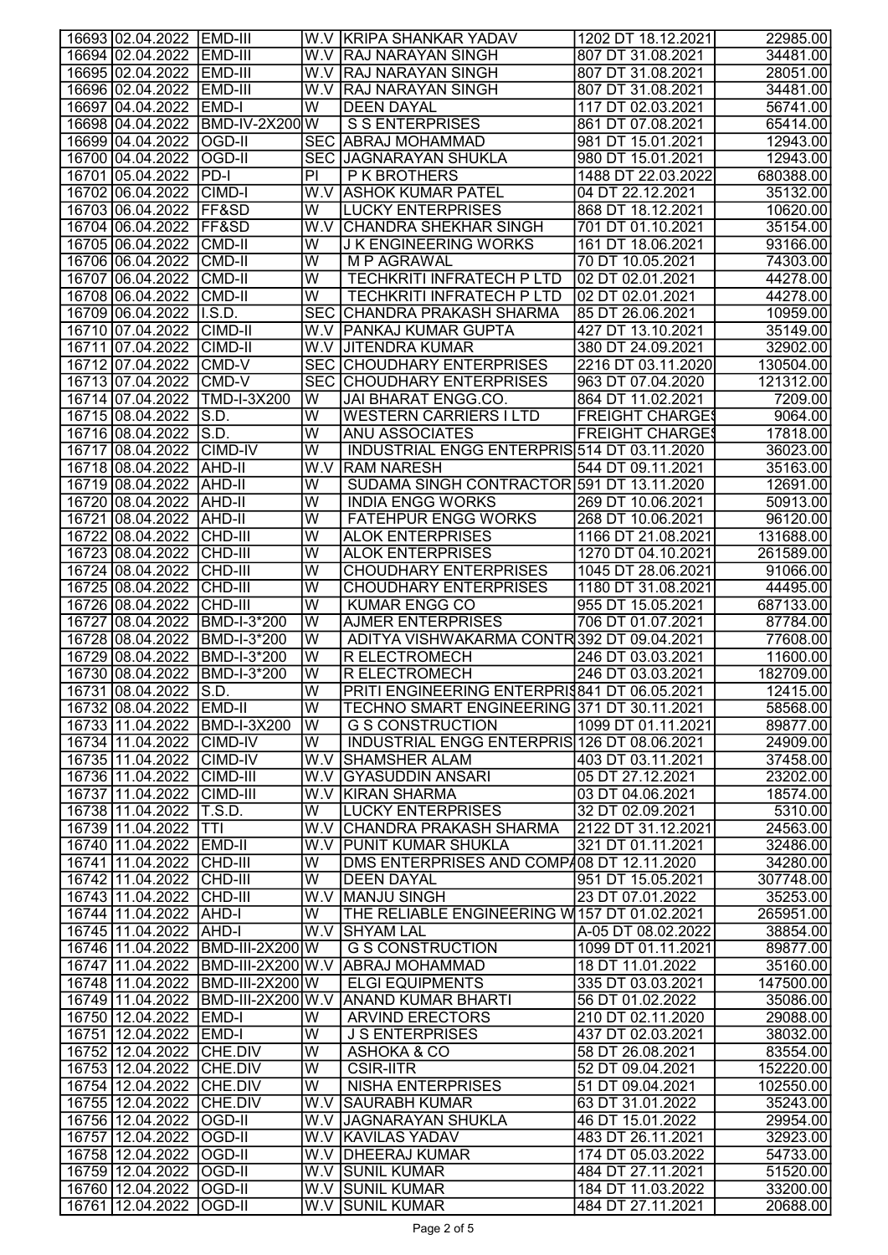| 16693 02.04.2022 EMD-III             |                                  |                              | W.V KRIPA SHANKAR YADAV                               | 1202 DT 18.12.2021                      | 22985.00              |
|--------------------------------------|----------------------------------|------------------------------|-------------------------------------------------------|-----------------------------------------|-----------------------|
| 16694 02.04.2022                     | <b>EMD-III</b>                   |                              | W.V RAJ NARAYAN SINGH                                 | 807 DT 31.08.2021                       | 34481.00              |
| 16695 02.04.2022 EMD-III             |                                  |                              | W.V RAJ NARAYAN SINGH                                 | 807 DT 31.08.2021                       | 28051.00              |
| 16696 02.04.2022                     | <b>IEMD-III</b>                  |                              | W.V RAJ NARAYAN SINGH                                 | 807 DT 31.08.2021                       | 34481.00              |
| 16697 04.04.2022                     | <b>EMD-I</b>                     | W                            | <b>DEEN DAYAL</b>                                     | 117 DT 02.03.2021                       | 56741.00              |
|                                      | 16698 04.04.2022 BMD-IV-2X200 W  |                              | <b>S S ENTERPRISES</b>                                | 861 DT 07.08.2021                       | 65414.00              |
| 16699 04.04.2022                     | <b>OGD-II</b>                    |                              | SEC ABRAJ MOHAMMAD                                    | 981 DT 15.01.2021                       | 12943.00              |
| 16700 04.04.2022                     | OGD-II                           |                              | <b>SEC JAGNARAYAN SHUKLA</b>                          | 980 DT 15.01.2021                       | 12943.00              |
| 16701 05.04.2022                     | PD-I                             | PI                           | P K BROTHERS                                          | 1488 DT 22.03.2022                      | 680388.00             |
| 16702 06.04.2022                     | <b>CIMD-I</b>                    |                              | W.V ASHOK KUMAR PATEL                                 | 04 DT 22.12.2021                        | 35132.00              |
| 16703 06.04.2022                     | <b>IFF&amp;SD</b>                | W                            | <b>LUCKY ENTERPRISES</b>                              | 868 DT 18.12.2021                       | 10620.00              |
| 16704 06.04.2022                     | <b>IFF&amp;SD</b>                | W.V l                        | <b>CHANDRA SHEKHAR SINGH</b>                          | 701 DT 01.10.2021                       | 35154.00              |
| 16705 06.04.2022                     | <b>CMD-II</b>                    | W                            | <b>JK ENGINEERING WORKS</b>                           | 161 DT 18.06.2021                       | 93166.00              |
| 16706 06.04.2022                     | CMD-II                           | W                            | M P AGRAWAL                                           | 70 DT 10.05.2021                        | 74303.00              |
| 16707 06.04.2022                     | <b>CMD-II</b>                    | W                            | <b>TECHKRITI INFRATECH P LTD</b>                      | 02 DT 02.01.2021                        | 44278.00              |
| 16708 06.04.2022                     | <b>CMD-II</b>                    | W                            | <b>TECHKRITI INFRATECH P LTD</b>                      | 02 DT 02.01.2021                        | 44278.00              |
| 16709 06.04.2022                     | I.S.D.                           | <b>SEC</b>                   | CHANDRA PRAKASH SHARMA                                | 85 DT 26.06.2021                        | 10959.00              |
| 16710 07.04.2022                     | CIMD-II                          |                              | W.V   PANKAJ KUMAR GUPTA                              | 427 DT 13.10.2021                       | 35149.00              |
| 16711 07.04.2022                     | <b>CIMD-II</b>                   |                              | W.V JJITENDRA KUMAR                                   | 380 DT 24.09.2021                       | 32902.00              |
| 16712 07.04.2022                     | <b>CMD-V</b>                     |                              | <b>SEC CHOUDHARY ENTERPRISES</b>                      | 2216 DT 03.11.2020                      | 130504.00             |
| 16713 07.04.2022                     | CMD-V                            |                              | <b>SEC CHOUDHARY ENTERPRISES</b>                      | 963 DT 07.04.2020                       | 121312.00             |
| 16714 07.04.2022                     | <b>TMD-I-3X200</b>               | W                            | JAI BHARAT ENGG.CO.                                   | 864 DT 11.02.2021                       | 7209.00               |
| 16715 08.04.2022                     | S.D.                             | $\overline{\mathsf{W}}$      | <b>WESTERN CARRIERS I LTD</b>                         | <b>FREIGHT CHARGES</b>                  | 9064.00               |
| 16716 08.04.2022                     | S.D.                             | $\overline{\mathsf{w}}$      | ANU ASSOCIATES                                        | <b>FREIGHT CHARGES</b>                  | 17818.00              |
| 16717 08.04.2022                     | <b>CIMD-IV</b>                   | W                            | INDUSTRIAL ENGG ENTERPRIS 514 DT 03.11.2020           |                                         | 36023.00              |
| 16718 08.04.2022                     | <b>JAHD-II</b>                   | W.V                          | <b>RAM NARESH</b>                                     | 544 DT 09.11.2021                       | 35163.00              |
| 16719 08.04.2022                     | <b>AHD-II</b>                    | W                            | SUDAMA SINGH CONTRACTOR 591 DT 13.11.2020             |                                         | 12691.00              |
| 16720 08.04.2022 AHD-II              |                                  | W                            | <b>INDIA ENGG WORKS</b>                               | 269 DT 10.06.2021                       | 50913.00              |
| 16721 08.04.2022                     | AHD-II                           | W                            | <b>FATEHPUR ENGG WORKS</b>                            | 268 DT 10.06.2021                       | 96120.00              |
| 16722 08.04.2022                     | <b>CHD-III</b>                   | W                            | <b>ALOK ENTERPRISES</b>                               | 1166 DT 21.08.2021                      | 131688.00             |
| 16723 08.04.2022 CHD-III             |                                  | W                            | <b>ALOK ENTERPRISES</b>                               | 1270 DT 04.10.2021                      | 261589.00             |
| 16724 08.04.2022                     | <b>CHD-III</b>                   | W<br>$\overline{\mathsf{W}}$ | <b>CHOUDHARY ENTERPRISES</b>                          | 1045 DT 28.06.2021                      | 91066.00              |
| 16725 08.04.2022<br>16726 08.04.2022 | <b>CHD-III</b><br>CHD-III        | W                            | <b>CHOUDHARY ENTERPRISES</b><br><b>KUMAR ENGG CO</b>  | 1180 DT 31.08.2021<br>955 DT 15.05.2021 | 44495.00<br>687133.00 |
| 16727 08.04.2022                     | BMD-I-3*200                      | W                            | <b>AJMER ENTERPRISES</b>                              | 706 DT 01.07.2021                       | 87784.00              |
| 16728 08.04.2022                     | BMD-I-3*200                      | W                            | ADITYA VISHWAKARMA CONTR392 DT 09.04.2021             |                                         | 77608.00              |
| 16729 08.04.2022                     | BMD-I-3*200                      | W                            | <b>R ELECTROMECH</b>                                  | 246 DT 03.03.2021                       | 11600.00              |
| 16730 08.04.2022                     | BMD-I-3*200                      | $\overline{\mathsf{W}}$      | <b>R ELECTROMECH</b>                                  | 246 DT 03.03.2021                       | 182709.00             |
| 16731 08.04.2022                     | $\overline{\mathsf{S.D.}}$       | $\overline{\mathsf{W}}$      | PRITI ENGINEERING ENTERPRIS841 DT 06.05.2021          |                                         | 12415.00              |
| 16732 08.04.2022 EMD-II              |                                  | lw                           | TECHNO SMART ENGINEERING 371 DT 30.11.2021            |                                         | 58568.00              |
|                                      | 16733 11.04.2022 BMD-I-3X200     | lW                           | <b>G S CONSTRUCTION</b>                               | 1099 DT 01.11.2021                      | 89877.00              |
| 16734 11.04.2022 CIMD-IV             |                                  | W                            | INDUSTRIAL ENGG ENTERPRIS 126 DT 08.06.2021           |                                         | 24909.00              |
| 16735 11.04.2022 CIMD-IV             |                                  |                              | W.V SHAMSHER ALAM                                     | 403 DT 03.11.2021                       | 37458.00              |
| 16736 11.04.2022 CIMD-III            |                                  |                              | W.V GYASUDDIN ANSARI                                  | 05 DT 27.12.2021                        | 23202.00              |
| 16737 11.04.2022 CIMD-III            |                                  |                              | <b>W.V KIRAN SHARMA</b>                               | 03 DT 04.06.2021                        | 18574.00              |
| 16738 11.04.2022 T.S.D.              |                                  | W                            | <b>LUCKY ENTERPRISES</b>                              | 32 DT 02.09.2021                        | 5310.00               |
| 16739 11.04.2022 TTI                 |                                  |                              | W.V CHANDRA PRAKASH SHARMA                            | 2122 DT 31.12.2021                      | 24563.00              |
| 16740 11.04.2022 EMD-II              |                                  |                              | W.V PUNIT KUMAR SHUKLA                                | 321 DT 01.11.2021                       | 32486.00              |
| 16741 11.04.2022 CHD-III             |                                  | W                            | DMS ENTERPRISES AND COMP408 DT 12.11.2020             |                                         | 34280.00              |
| 16742 11.04.2022 CHD-III             |                                  | W                            | <b>DEEN DAYAL</b>                                     | 951 DT 15.05.2021                       | 307748.00             |
| 16743 11.04.2022 CHD-III             |                                  |                              | W.V MANJU SINGH                                       | 23 DT 07.01.2022                        | 35253.00              |
| 16744 11.04.2022 AHD-I               |                                  | $\overline{\mathsf{w}}$      | THE RELIABLE ENGINEERING W157 DT 01.02.2021           |                                         | 265951.00             |
| 16745 11.04.2022 AHD-I               | 16746 11.04.2022 BMD-III-2X200 W |                              | W.V SHYAM LAL<br><b>G S CONSTRUCTION</b>              | A-05 DT 08.02.2022                      | 38854.00              |
|                                      |                                  |                              | 16747 11.04.2022   BMD-III-2X200 W.V ABRAJ MOHAMMAD   | 1099 DT 01.11.2021<br>18 DT 11.01.2022  | 89877.00<br>35160.00  |
|                                      | 16748 11.04.2022 BMD-III-2X200 W |                              | <b>ELGI EQUIPMENTS</b>                                | 335 DT 03.03.2021                       | 147500.00             |
|                                      |                                  |                              | 16749 11.04.2022 BMD-III-2X200 W.V ANAND KUMAR BHARTI | 56 DT 01.02.2022                        | 35086.00              |
| 16750 12.04.2022 EMD-I               |                                  | W                            | <b>ARVIND ERECTORS</b>                                | 210 DT 02.11.2020                       | 29088.00              |
| 16751 12.04.2022 EMD-I               |                                  | $\overline{\mathsf{W}}$      | <b>J S ENTERPRISES</b>                                | 437 DT 02.03.2021                       | 38032.00              |
| 16752 12.04.2022 CHE.DIV             |                                  | $\overline{\mathsf{W}}$      | ASHOKA & CO                                           | 58 DT 26.08.2021                        | 83554.00              |
| 16753 12.04.2022 CHE.DIV             |                                  | $\overline{\mathsf{W}}$      | <b>CSIR-IITR</b>                                      | 52 DT 09.04.2021                        | 152220.00             |
| 16754 12.04.2022 CHE.DIV             |                                  | W                            | <b>NISHA ENTERPRISES</b>                              | 51 DT 09.04.2021                        | 102550.00             |
| 16755 12.04.2022 CHE.DIV             |                                  |                              | <b>W.V SAURABH KUMAR</b>                              | 63 DT 31.01.2022                        | 35243.00              |
| 16756 12.04.2022 OGD-II              |                                  |                              | W.V JAGNARAYAN SHUKLA                                 | 46 DT 15.01.2022                        | 29954.00              |
| 16757 12.04.2022 OGD-II              |                                  |                              | W.V KAVILAS YADAV                                     | 483 DT 26.11.2021                       | 32923.00              |
| 16758 12.04.2022 OGD-II              |                                  |                              | W.V DHEERAJ KUMAR                                     | 174 DT 05.03.2022                       | 54733.00              |
| 16759 12.04.2022 OGD-II              |                                  |                              | <b>W.V SUNIL KUMAR</b>                                | 484 DT 27.11.2021                       | 51520.00              |
| 16760 12.04.2022 OGD-II              |                                  |                              | W.V SUNIL KUMAR                                       | 184 DT 11.03.2022                       | 33200.00              |
| 16761 12.04.2022 OGD-II              |                                  |                              | <b>W.V SUNIL KUMAR</b>                                | 484 DT 27.11.2021                       | 20688.00              |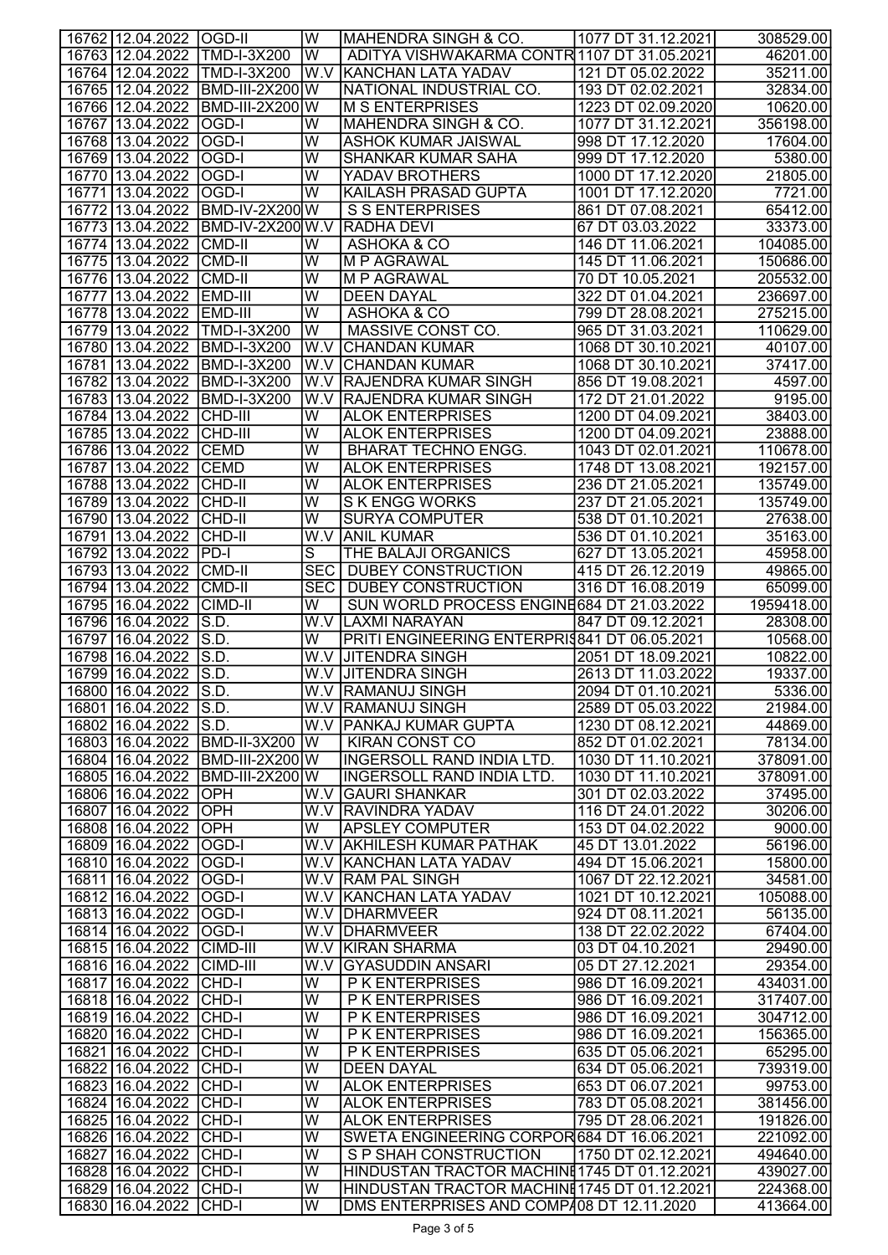| 16762 12.04.2022 OGD-II                          |                        | lw                                                 | MAHENDRA SINGH & CO.                         | 1077 DT 31.12.2021                     | 308529.00              |
|--------------------------------------------------|------------------------|----------------------------------------------------|----------------------------------------------|----------------------------------------|------------------------|
| 16763 12.04.2022 TMD-I-3X200                     |                        | İW                                                 | ADITYA VISHWAKARMA CONTR 1107 DT 31.05.2021  |                                        | 46201.00               |
| 16764 12.04.2022 TMD-I-3X200                     |                        |                                                    | W.V KAANCHAN LATA YADAV                      | 121 DT 05.02.2022                      | 35211.00               |
| 16765 12.04.2022 BMD-III-2X200 W                 |                        |                                                    | NATIONAL INDUSTRIAL CO.                      | 193 DT 02.02.2021                      | 32834.00               |
| 16766 12.04.2022                                 | <b>BMD-III-2X200W</b>  |                                                    | <b>M S ENTERPRISES</b>                       | 1223 DT 02.09.2020                     | 10620.00               |
| 16767 13.04.2022                                 | $OGD-I$                | W                                                  | <b>MAHENDRA SINGH &amp; CO.</b>              | 1077 DT 31.12.2021                     | 356198.00              |
| 16768 13.04.2022                                 | <b>OGD-I</b>           | $\overline{\mathsf{W}}$                            | <b>ASHOK KUMAR JAISWAL</b>                   | 998 DT 17.12.2020                      | 17604.00               |
| 16769 13.04.2022                                 | lOGD-I                 | W                                                  | <b>SHANKAR KUMAR SAHA</b>                    | 999 DT 17.12.2020                      | 5380.00                |
| 16770 13.04.2022                                 | <b>OGD-I</b>           | $\overline{\mathsf{W}}$                            | YADAV BROTHERS                               | 1000 DT 17.12.2020                     | 21805.00               |
| 16771 13.04.2022                                 | <b>OGD-I</b>           | $\overline{\mathsf{W}}$                            | <b>KAILASH PRASAD GUPTA</b>                  | 1001 DT 17.12.2020                     | 7721.00                |
| 16772 13.04.2022                                 | <b>BMD-IV-2X200W</b>   |                                                    | <b>S S ENTERPRISES</b>                       | 861 DT 07.08.2021                      | 65412.00               |
| 16773 13.04.2022                                 | BMD-IV-2X200 W.V       |                                                    | <b>RADHA DEVI</b>                            | 67 DT 03.03.2022                       | 33373.00               |
| 16774 13.04.2022                                 | CMD-II                 | $\overline{\mathsf{W}}$                            | ASHOKA & CO                                  | 146 DT 11.06.2021                      | 104085.00              |
| 16775 13.04.2022                                 | <b>CMD-II</b>          | $\overline{\mathsf{W}}$                            | <b>M P AGRAWAL</b>                           | 145 DT 11.06.2021                      | 150686.00              |
| 16776 13.04.2022                                 | <b>CMD-II</b>          | $\overline{\mathsf{w}}$                            | <b>M P AGRAWAL</b>                           | 70 DT 10.05.2021                       | 205532.00              |
| 16777 13.04.2022                                 | EMD-III                | $\overline{\mathsf{w}}$                            | <b>DEEN DAYAL</b>                            | 322 DT 01.04.2021                      | 236697.00              |
| 16778 13.04.2022 EMD-III<br>16779 13.04.2022     | <b>TMD-I-3X200</b>     | $\overline{\mathsf{W}}$<br>$\overline{\mathsf{W}}$ | ASHOKA & CO                                  | 799 DT 28.08.2021<br>965 DT 31.03.2021 | 275215.00              |
| 16780 13.04.2022                                 | <b>BMD-I-3X200</b>     | W.V                                                | MASSIVE CONST CO.<br><b>CHANDAN KUMAR</b>    | 1068 DT 30.10.2021                     | 110629.00<br>40107.00  |
| 16781 13.04.2022                                 | <b>BMD-I-3X200</b>     | W.V.                                               | <b>CHANDAN KUMAR</b>                         | 1068 DT 30.10.2021                     | 37417.00               |
| 16782 13.04.2022                                 | <b>BMD-I-3X200</b>     |                                                    | <b>RAJENDRA KUMAR SINGH</b>                  | 856 DT 19.08.2021                      | 4597.00                |
| 16783 13.04.2022                                 | <b>BMD-I-3X200</b>     | W.V<br>W.V                                         | <b>RAJENDRA KUMAR SINGH</b>                  | 172 DT 21.01.2022                      | 9195.00                |
| 16784 13.04.2022                                 | $ CHD-III $            | W                                                  | <b>ALOK ENTERPRISES</b>                      | 1200 DT 04.09.2021                     | 38403.00               |
| 16785 13.04.2022                                 | CHD-III                | W                                                  | <b>ALOK ENTERPRISES</b>                      | 1200 DT 04.09.2021                     | 23888.00               |
| 16786 13.04.2022                                 | <b>CEMD</b>            | $\overline{\mathsf{W}}$                            | <b>BHARAT TECHNO ENGG.</b>                   | 1043 DT 02.01.2021                     | 110678.00              |
| 16787 13.04.2022 CEMD                            |                        | $\overline{\mathsf{w}}$                            | <b>ALOK ENTERPRISES</b>                      | 1748 DT 13.08.2021                     | 192157.00              |
| 16788 13.04.2022 CHD-II                          |                        | W                                                  | <b>ALOK ENTERPRISES</b>                      | 236 DT 21.05.2021                      | 135749.00              |
| 16789 13.04.2022                                 | <b>CHD-II</b>          | $\overline{\mathsf{W}}$                            | <b>SKENGG WORKS</b>                          | 237 DT 21.05.2021                      | 135749.00              |
| 16790 13.04.2022 CHD-II                          |                        | $\overline{\mathsf{W}}$                            | <b>SURYA COMPUTER</b>                        | 538 DT 01.10.2021                      | 27638.00               |
| 16791 13.04.2022                                 | <b>CHD-II</b>          |                                                    | <b>W.V ANIL KUMAR</b>                        | 536 DT 01.10.2021                      | 35163.00               |
| 16792 13.04.2022                                 | P <sub>0</sub>         | $\overline{s}$                                     | THE BALAJI ORGANICS                          | 627 DT 13.05.2021                      | 45958.00               |
| 16793 13.04.2022                                 | <b>CMD-II</b>          | <b>SEC</b>                                         | <b>DUBEY CONSTRUCTION</b>                    | 415 DT 26.12.2019                      | 49865.00               |
| 16794 13.04.2022                                 | CMD-II                 | <b>SEC</b>                                         | <b>DUBEY CONSTRUCTION</b>                    | 316 DT 16.08.2019                      | 65099.00               |
| 16795 16.04.2022                                 | <b>CIMD-II</b>         | W                                                  | SUN WORLD PROCESS ENGINE 684 DT 21.03.2022   |                                        | 1959418.00             |
| 16796 16.04.2022                                 | S.D.                   | W.V l                                              | <b>LAXMI NARAYAN</b>                         | 847 DT 09.12.2021                      | 28308.00               |
| 16797 16.04.2022                                 | SS.D.                  | W                                                  | PRITI ENGINEERING ENTERPRIS841 DT 06.05.2021 |                                        | 10568.00               |
| 16798 16.04.2022                                 | S.D.                   | W.V                                                | <b>JITENDRA SINGH</b>                        | 2051 DT 18.09.2021                     | 10822.00               |
| 16799 16.04.2022                                 | IS.D.                  |                                                    | <b>W.V JITENDRA SINGH</b>                    | 2613 DT 11.03.2022                     | 19337.00               |
| 16800 16.04.2022 S.D.                            |                        |                                                    | <b>W.V RAMANUJ SINGH</b>                     | 2094 DT 01.10.2021                     | 5336.00                |
| 16801   16.04.2022   S.D.                        |                        |                                                    | <b>W.V RAMANUJ SINGH</b>                     | 2589 DT 05.03.2022                     | 21984.00               |
| 16802 16.04.2022 S.D.                            |                        |                                                    | W.V PANKAJ KUMAR GUPTA                       | 1230 DT 08.12.2021                     | 44869.00               |
| 16803 16.04.2022 BMD-II-3X200                    |                        | lw                                                 | <b>KIRAN CONST CO</b>                        | 852 DT 01.02.2021                      | 78134.00               |
| 16804 16.04.2022                                 | <b>BMD-III-2X200W</b>  |                                                    | <b>INGERSOLL RAND INDIA LTD.</b>             | 1030 DT 11.10.2021                     | 378091.00              |
| 16805 16.04.2022                                 | <b>BMD-III-2X200 W</b> |                                                    | <b>INGERSOLL RAND INDIA LTD.</b>             | 1030 DT 11.10.2021                     | 378091.00              |
| 16806 16.04.2022                                 | <b>OPH</b>             |                                                    | W.V GAURI SHANKAR                            | 301 DT 02.03.2022                      | 37495.00               |
| 16807 16.04.2022                                 | OPH                    |                                                    | W.V RAVINDRA YADAV                           | 116 DT 24.01.2022                      | 30206.00               |
| 16808 16.04.2022                                 | OPH                    | W                                                  | <b>APSLEY COMPUTER</b>                       | 153 DT 04.02.2022                      | 9000.00                |
| 16809 16.04.2022                                 | <b>OGD-I</b>           |                                                    | W.V AKHILESH KUMAR PATHAK                    | 45 DT 13.01.2022                       | 56196.00               |
| 16810   16.04.2022                               | <b>OGD-I</b>           |                                                    | W.V KANCHAN LATA YADAV                       | 494 DT 15.06.2021                      | 15800.00               |
| 16811 16.04.2022                                 | <b>OGD-I</b>           |                                                    | W.V RAM PAL SINGH                            | 1067 DT 22.12.2021                     | 34581.00               |
| 16812 16.04.2022                                 | <b>OGD-I</b>           |                                                    | W.V KANCHAN LATA YADAV                       | 1021 DT 10.12.2021                     | 105088.00              |
| 16813 16.04.2022 OGD-I                           |                        |                                                    | W.V DHARMVEER                                | 924 DT 08.11.2021                      | 56135.00               |
| 16814 16.04.2022 OGD-I                           |                        |                                                    | W.V DHARMVEER                                | 138 DT 22.02.2022                      | 67404.00               |
| 16815 16.04.2022 CIMD-III                        |                        |                                                    | W.V KIRAN SHARMA                             | 03 DT 04.10.2021                       | 29490.00               |
| 16816 16.04.2022 CIMD-III                        |                        | W.V                                                | <b>GYASUDDIN ANSARI</b>                      | 05 DT 27.12.2021                       | 29354.00               |
| 16817 16.04.2022 CHD-I                           |                        | W<br>$\overline{\mathsf{w}}$                       | <b>PK ENTERPRISES</b>                        | 986 DT 16.09.2021                      | 434031.00              |
| 16818 16.04.2022 CHD-I                           |                        | W                                                  | P K ENTERPRISES                              | 986 DT 16.09.2021                      | 317407.00              |
| 16819 16.04.2022 CHD-I<br>16820 16.04.2022 CHD-I |                        | W                                                  | P K ENTERPRISES<br>P K ENTERPRISES           | 986 DT 16.09.2021<br>986 DT 16.09.2021 | 304712.00<br>156365.00 |
| 16821 16.04.2022 CHD-I                           |                        | $\overline{\mathsf{W}}$                            | P K ENTERPRISES                              | 635 DT 05.06.2021                      | 65295.00               |
| 16822 16.04.2022 CHD-I                           |                        | W                                                  | <b>DEEN DAYAL</b>                            | 634 DT 05.06.2021                      | 739319.00              |
| 16823 16.04.2022 CHD-I                           |                        | $\overline{\mathsf{W}}$                            | <b>ALOK ENTERPRISES</b>                      | 653 DT 06.07.2021                      | 99753.00               |
| 16824 16.04.2022 CHD-I                           |                        | $\overline{\mathsf{w}}$                            | <b>ALOK ENTERPRISES</b>                      | 783 DT 05.08.2021                      | 381456.00              |
| 16825 16.04.2022 CHD-I                           |                        | $\overline{\mathsf{w}}$                            | <b>ALOK ENTERPRISES</b>                      | 795 DT 28.06.2021                      | 191826.00              |
| 16826 16.04.2022 CHD-I                           |                        | $\overline{\mathsf{W}}$                            | SWETA ENGINEERING CORPOR 684 DT 16.06.2021   |                                        | 221092.00              |
| 16827 16.04.2022 CHD-I                           |                        | $\overline{\mathsf{W}}$                            | S P SHAH CONSTRUCTION                        | 1750 DT 02.12.2021                     | 494640.00              |
| 16828 16.04.2022 CHD-I                           |                        | W                                                  | HINDUSTAN TRACTOR MACHINE 1745 DT 01.12.2021 |                                        | 439027.00              |
| 16829 16.04.2022 CHD-I                           |                        | $\overline{W}$                                     | HINDUSTAN TRACTOR MACHINE 1745 DT 01.12.2021 |                                        | 224368.00              |
|                                                  | 16830 16.04.2022 CHD-I | $\overline{\mathsf{W}}$                            | DMS ENTERPRISES AND COMP408 DT 12.11.2020    |                                        | 413664.00              |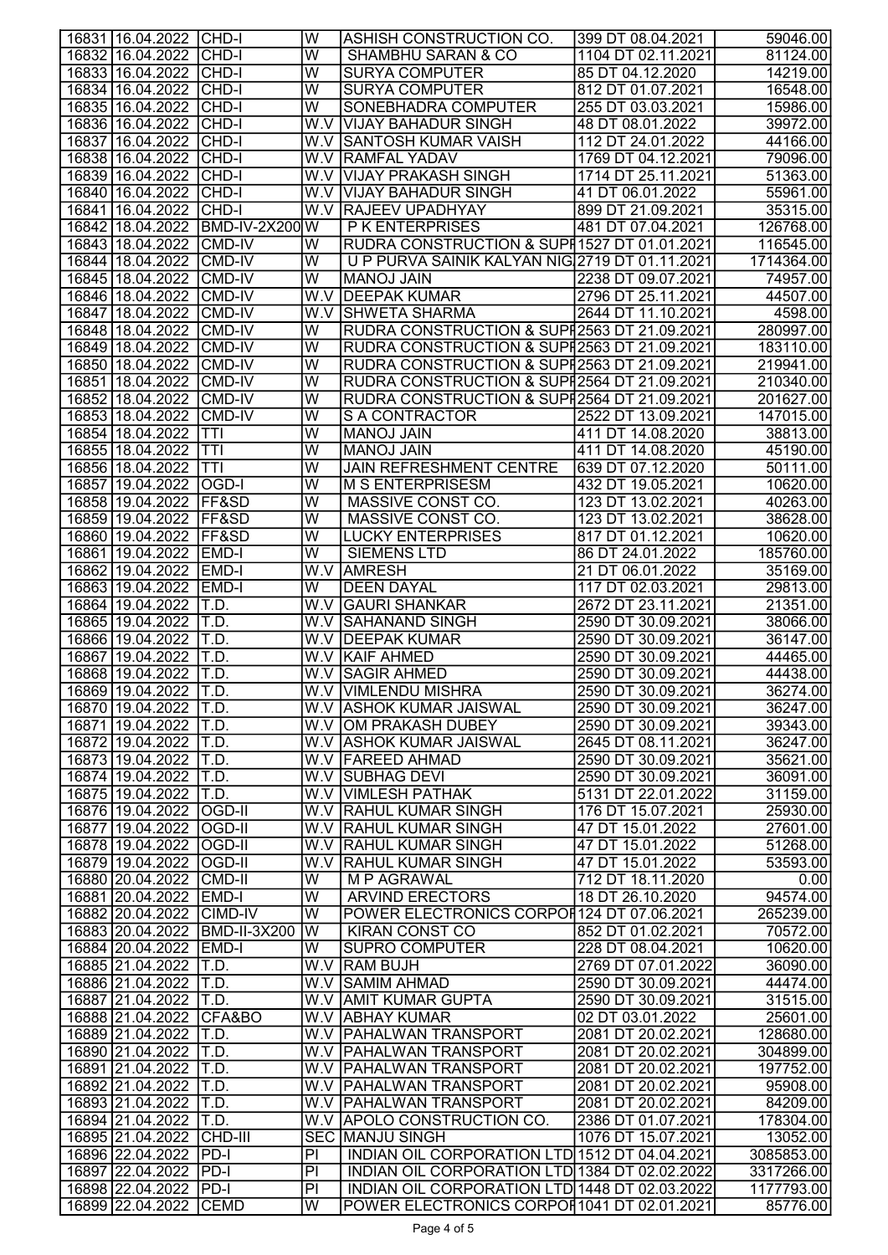| 16831   16.04.2022   CHD-I                  |                               | W                       | ASHISH CONSTRUCTION CO.                            | 399 DT 08.04.2021                       | 59046.00             |
|---------------------------------------------|-------------------------------|-------------------------|----------------------------------------------------|-----------------------------------------|----------------------|
| 16832 16.04.2022 CHD-I                      |                               | W                       | <b>SHAMBHU SARAN &amp; CO</b>                      | 1104 DT 02.11.2021                      | 81124.00             |
| 16833 16.04.2022 CHD-I                      |                               | W                       | <b>SURYA COMPUTER</b>                              | 85 DT 04.12.2020                        | 14219.00             |
| 16834 16.04.2022 CHD-I                      |                               | W                       | <b>SURYA COMPUTER</b>                              | 812 DT 01.07.2021                       | 16548.00             |
| 16835 16.04.2022 CHD-I                      |                               | $\overline{\mathsf{w}}$ | SONEBHADRA COMPUTER                                | 255 DT 03.03.2021                       | 15986.00             |
| 16836 16.04.2022 CHD-I                      |                               |                         | W.V VIJAY BAHADUR SINGH                            | 48 DT 08.01.2022                        | 39972.00             |
| 16837 16.04.2022 CHD-I                      |                               |                         | W.V SANTOSH KUMAR VAISH                            | 112 DT 24.01.2022                       | 44166.00             |
| 16838 16.04.2022 CHD-I                      |                               |                         | W.V RAMFAL YADAV                                   | 1769 DT 04.12.2021                      | 79096.00             |
| 16839 16.04.2022 CHD-I                      |                               |                         | W.V VIJAY PRAKASH SINGH                            | 1714 DT 25.11.2021                      | 51363.00             |
| 16840 16.04.2022 CHD-I                      |                               |                         | W.V VIJAY BAHADUR SINGH                            | 41 DT 06.01.2022                        | 55961.00             |
| 16841   16.04.2022                          | CHD-I                         |                         | <b>W.V RAJEEV UPADHYAY</b>                         | 899 DT 21.09.2021                       | 35315.00             |
| 16842 18.04.2022                            | <b>BMD-IV-2X200 W</b>         |                         | P K ENTERPRISES                                    | 481 DT 07.04.2021                       | 126768.00            |
| 16843 18.04.2022 CMD-IV                     |                               | W                       | RUDRA CONSTRUCTION & SUPH 1527 DT 01.01.2021       |                                         | 116545.00            |
| 16844 18.04.2022                            | CMD-IV                        | W                       | U P PURVA SAINIK KALYAN NIG 2719 DT 01.11.2021     |                                         | 1714364.00           |
| 16845 18.04.2022 CMD-IV                     |                               | W                       | <b>MANOJ JAIN</b>                                  | 2238 DT 09.07.2021                      | 74957.00             |
| 16846 18.04.2022 CMD-IV                     |                               |                         | W.V DEEPAK KUMAR                                   | 2796 DT 25.11.2021                      | 44507.00             |
| 16847 18.04.2022 CMD-IV                     |                               |                         | W.V SHWETA SHARMA                                  | 2644 DT 11.10.2021                      | 4598.00              |
| 16848 18.04.2022 CMD-IV                     |                               | W                       | RUDRA CONSTRUCTION & SUPI2563 DT 21.09.2021        |                                         | 280997.00            |
| 16849 18.04.2022 CMD-IV                     |                               | W                       | RUDRA CONSTRUCTION & SUPI2563 DT 21.09.2021        |                                         | 183110.00            |
| 16850 18.04.2022 CMD-IV                     |                               | W                       | RUDRA CONSTRUCTION & SUPI2563 DT 21.09.2021        |                                         | 219941.00            |
| 16851 18.04.2022 CMD-IV                     |                               | W                       | RUDRA CONSTRUCTION & SUPI2564 DT 21.09.2021        |                                         | 210340.00            |
| 16852 18.04.2022 CMD-IV                     |                               | W                       | RUDRA CONSTRUCTION & SUPI2564 DT 21.09.2021        |                                         | 201627.00            |
| 16853 18.04.2022                            | <b>CMD-IV</b>                 | $\overline{\mathsf{W}}$ | S A CONTRACTOR                                     | 2522 DT 13.09.2021                      | 147015.00            |
| 16854 18.04.2022                            | TTI                           | $\overline{\mathsf{W}}$ | <b>MANOJ JAIN</b>                                  | 411 DT 14.08.2020                       | 38813.00             |
| 16855 18.04.2022                            | TTI                           | $\overline{\mathsf{W}}$ | <b>MANOJ JAIN</b>                                  | 411 DT 14.08.2020                       | 45190.00             |
| 16856 18.04.2022                            | TTI                           | W                       | <b>JAIN REFRESHMENT CENTRE</b>                     | 639 DT 07.12.2020                       | 50111.00             |
| 16857 19.04.2022 OGD-I                      |                               | W                       | <b>M S ENTERPRISESM</b>                            | 432 DT 19.05.2021                       | 10620.00             |
| 16858 19.04.2022 FF&SD                      |                               | W                       | MASSIVE CONST CO.                                  | 123 DT 13.02.2021                       | 40263.00             |
| 16859 19.04.2022 FF&SD                      |                               | W                       | MASSIVE CONST CO.                                  | 123 DT 13.02.2021                       | 38628.00             |
| 16860 19.04.2022 FF&SD                      |                               | W                       | <b>LUCKY ENTERPRISES</b>                           | 817 DT 01.12.2021                       | 10620.00             |
| 16861 19.04.2022 EMD-I                      |                               | $\overline{\mathsf{w}}$ | <b>SIEMENS LTD</b>                                 | 86 DT 24.01.2022                        | 185760.00            |
| 16862 19.04.2022 EMD-I                      |                               |                         | W.V AMRESH                                         | 21 DT 06.01.2022                        | 35169.00             |
| 16863 19.04.2022 EMD-I                      |                               | W                       | <b>DEEN DAYAL</b>                                  | 117 DT 02.03.2021                       | 29813.00             |
| 16864 19.04.2022                            | IT.D.                         | W.V                     | <b>GAURI SHANKAR</b>                               | 2672 DT 23.11.2021                      | 21351.00             |
| 16865 19.04.2022                            | IT.D.                         |                         | W.V SAHANAND SINGH                                 | 2590 DT 30.09.2021                      | 38066.00             |
| 16866 19.04.2022                            | T.D.                          |                         | W.V DEEPAK KUMAR                                   | 2590 DT 30.09.2021                      | 36147.00             |
| 16867 19.04.2022                            | T.D.                          |                         | <b>W.V KAIF AHMED</b>                              | 2590 DT 30.09.2021                      | 44465.00             |
| 16868 19.04.2022 T.D.                       |                               |                         | <b>W.V SAGIR AHMED</b>                             | 2590 DT 30.09.2021                      | 44438.00             |
| 16869 19.04.2022 T.D.                       |                               |                         | W.V VIMLENDU MISHRA                                | 2590 DT 30.09.2021                      | 36274.00             |
| 16870 19.04.2022 T.D.                       |                               |                         | W.V ASHOK KUMAR JAISWAL                            | 2590 DT 30.09.2021                      | 36247.00             |
| 16871 19.04.2022 T.D.                       |                               |                         | W.V OM PRAKASH DUBEY                               | 2590 DT 30.09.2021                      | 39343.00             |
| 16872 19.04.2022 T.D.                       |                               |                         | <b>W.V ASHOK KUMAR JAISWAL</b><br>W.V FAREED AHMAD | 2645 DT 08.11.2021                      | 36247.00<br>35621.00 |
| 16873 19.04.2022 T.D.                       |                               |                         |                                                    | 2590 DT 30.09.2021                      |                      |
| 16874 19.04.2022 T.D.                       |                               |                         | W.V SUBHAG DEVI                                    | 2590 DT 30.09.2021                      | 36091.00             |
| 16875 19.04.2022<br>16876 19.04.2022 OGD-II | T.D.                          |                         | <b>W.V VIMLESH PATHAK</b><br>W.V RAHUL KUMAR SINGH | 5131 DT 22.01.2022<br>176 DT 15.07.2021 | 31159.00<br>25930.00 |
| 16877 19.04.2022 OGD-II                     |                               |                         | W.V  RAHUL KUMAR SINGH                             | 47 DT 15.01.2022                        | 27601.00             |
| 16878 19.04.2022 OGD-II                     |                               |                         | W.V RAHUL KUMAR SINGH                              | 47 DT 15.01.2022                        | 51268.00             |
| 16879 19.04.2022 OGD-II                     |                               |                         | W.V RAHUL KUMAR SINGH                              | 47 DT 15.01.2022                        | 53593.00             |
| 16880 20.04.2022 CMD-II                     |                               | W                       | M P AGRAWAL                                        | 712 DT 18.11.2020                       | 0.00                 |
| 16881 20.04.2022 EMD-I                      |                               | W                       | <b>ARVIND ERECTORS</b>                             | 18 DT 26.10.2020                        | 94574.00             |
| 16882 20.04.2022 CIMD-IV                    |                               | W                       | POWER ELECTRONICS CORPOR124 DT 07.06.2021          |                                         | 265239.00            |
|                                             | 16883 20.04.2022 BMD-II-3X200 | W                       | <b>KIRAN CONST CO</b>                              | 852 DT 01.02.2021                       | 70572.00             |
| 16884 20.04.2022 EMD-I                      |                               | W                       | <b>SUPRO COMPUTER</b>                              | 228 DT 08.04.2021                       | 10620.00             |
| 16885 21.04.2022 T.D.                       |                               |                         | W.V RAM BUJH                                       | 2769 DT 07.01.2022                      | 36090.00             |
| 16886 21.04.2022   T.D.                     |                               |                         | W.V SAMIM AHMAD                                    | 2590 DT 30.09.2021                      | 44474.00             |
| 16887 21.04.2022 T.D.                       |                               |                         | W.V AMIT KUMAR GUPTA                               | 2590 DT 30.09.2021                      | 31515.00             |
| 16888 21.04.2022 CFA&BO                     |                               |                         | W.V ABHAY KUMAR                                    | 02 DT 03.01.2022                        | 25601.00             |
| 16889 21.04.2022   T.D.                     |                               |                         | W.V   PAHALWAN TRANSPORT                           | 2081 DT 20.02.2021                      | 128680.00            |
| 16890 21.04.2022 T.D.                       |                               |                         | W.V PAHALWAN TRANSPORT                             | 2081 DT 20.02.2021                      | 304899.00            |
| 16891 21.04.2022 T.D.                       |                               |                         | W.V PAHALWAN TRANSPORT                             | 2081 DT 20.02.2021                      | 197752.00            |
| 16892 21.04.2022 T.D.                       |                               |                         | W.V   PAHALWAN TRANSPORT                           | 2081 DT 20.02.2021                      | 95908.00             |
| 16893 21.04.2022 T.D.                       |                               |                         | W.V PAHALWAN TRANSPORT                             | 2081 DT 20.02.2021                      | 84209.00             |
| 16894 21.04.2022 T.D.                       |                               |                         | W.V APOLO CONSTRUCTION CO.                         | 2386 DT 01.07.2021                      | 178304.00            |
| 16895 21.04.2022 CHD-III                    |                               |                         | <b>SEC MANJU SINGH</b>                             | 1076 DT 15.07.2021                      | 13052.00             |
| 16896 22.04.2022 PD-I                       |                               | P                       | INDIAN OIL CORPORATION LTD 1512 DT 04.04.2021      |                                         | 3085853.00           |
| 16897 22.04.2022 PD-I                       |                               | $\overline{PI}$         | INDIAN OIL CORPORATION LTD 1384 DT 02.02.2022      |                                         | 3317266.00           |
| 16898 22.04.2022 PD-I                       |                               | $\overline{P}$          | INDIAN OIL CORPORATION LTD 1448 DT 02.03.2022      |                                         | 1177793.00           |
| 16899 22.04.2022 CEMD                       |                               | $\overline{\mathsf{W}}$ | POWER ELECTRONICS CORPOH 1041 DT 02.01.2021        |                                         | 85776.00             |